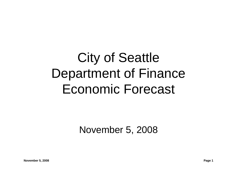# City of Seattle Department of Finance Economic Forecast

November 5, 2008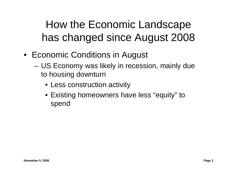How the Economic Landscape has changed since August 2008

- Economic Conditions in August
	- – US Economy was likely in recession, mainly due to housing downturn
		- Less construction activity
		- Existing homeowners have less "equity" to spend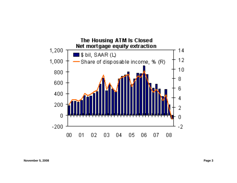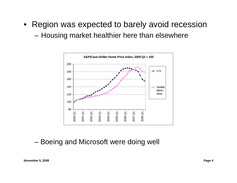- Region was expected to barely avoid recession
	- –Housing market healthier here than elsewhere



#### Boeing and Microsoft were doing well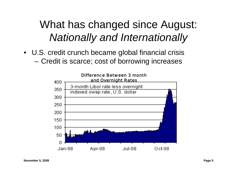## What has changed since August: *Nationally and Internationally*

• U.S. credit crunch became global financial crisis Credit is scarce; cost of borrowing increases

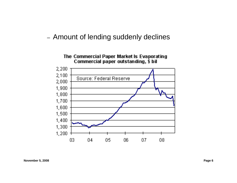#### Amount of lending suddenly declines

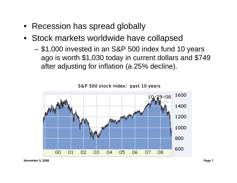- Recession has spread globally
- Stock markets worldwide have collapsed
	- \$1,000 invested in an S&P 500 index fund 10 years ago is worth \$1,030 today in current dollars and \$749 after adjusting for inflation (a 25% decline).



S&P 500 stock index: past 10 years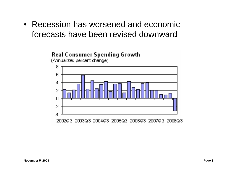• Recession has worsened and economic forecasts have been revised downward

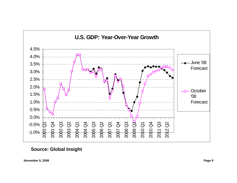

**Source: Global Insight**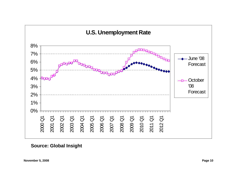

**Source: Global Insight**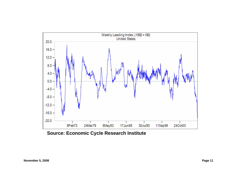

**Source: Economic Cycle Research Institute**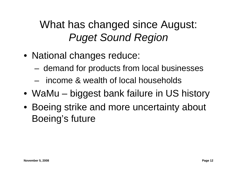## What has changed since August: *Puget Sound Region*

- National changes reduce:
	- demand for products from local businesses
	- income & wealth of local households
- WaMu biggest bank failure in US history
- Boeing strike and more uncertainty about Boeing's future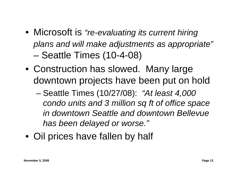- Microsoft is *"re-evaluating its current hiring plans and will make adjustments as appropriate"* –Seattle Times (10-4-08)
- Construction has slowed. Many large downtown projects have been put on hold
	- – Seattle Times (10/27/08): *"At least 4,000 condo units and 3 million sq ft of office space in downtown Seattle and downtown Bellevue has been delayed or worse."*
- Oil prices have fallen by half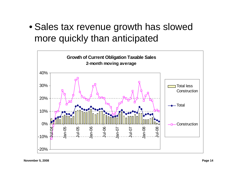• Sales tax revenue growth has slowed more quickly than anticipated

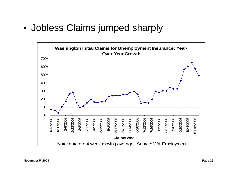•Jobless Claims jumped sharply

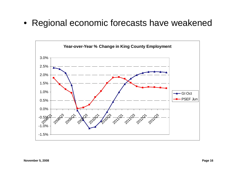• Regional economic forecasts have weakened

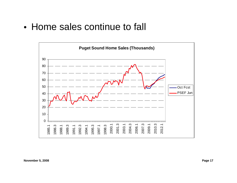• Home sales continue to fall

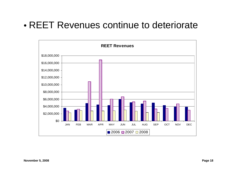### • REET Revenues continue to deteriorate

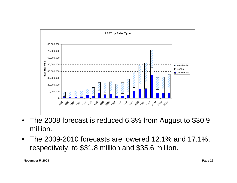

- • The 2008 forecast is reduced 6.3% from August to \$30.9 million.
- $\bullet$  The 2009-2010 forecasts are lowered 12.1% and 17.1%, respectively, to \$31.8 million and \$35.6 million.